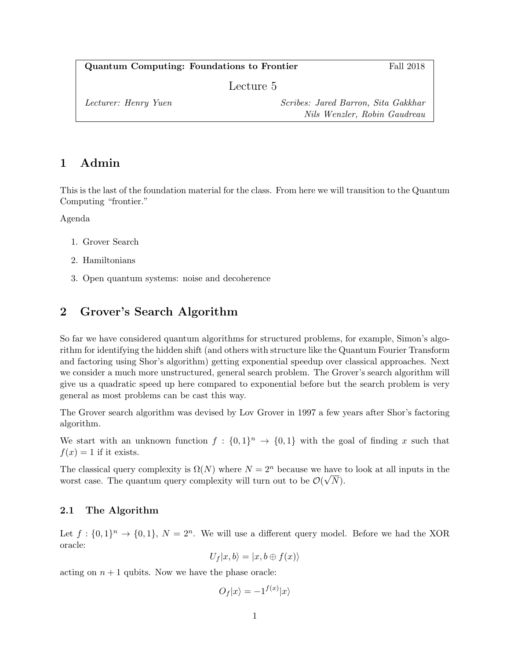Quantum Computing: Foundations to Frontier Fall 2018

Lecture 5

| Lecturer: Henry Yuen | Scribes: Jared Barron, Sita Gakkhar |
|----------------------|-------------------------------------|
|                      | Nils Wenzler, Robin Gaudreau        |

# 1 Admin

This is the last of the foundation material for the class. From here we will transition to the Quantum Computing "frontier."

Agenda

- 1. Grover Search
- 2. Hamiltonians
- 3. Open quantum systems: noise and decoherence

# 2 Grover's Search Algorithm

So far we have considered quantum algorithms for structured problems, for example, Simon's algorithm for identifying the hidden shift (and others with structure like the Quantum Fourier Transform and factoring using Shor's algorithm) getting exponential speedup over classical approaches. Next we consider a much more unstructured, general search problem. The Grover's search algorithm will give us a quadratic speed up here compared to exponential before but the search problem is very general as most problems can be cast this way.

The Grover search algorithm was devised by Lov Grover in 1997 a few years after Shor's factoring algorithm.

We start with an unknown function  $f: \{0,1\}^n \to \{0,1\}$  with the goal of finding x such that  $f(x) = 1$  if it exists.

The classical query complexity is  $\Omega(N)$  where  $N = 2^n$  because we have to look at all inputs in the worst case. The quantum query complexity will turn out to be  $\mathcal{O}(\sqrt{N})$ .

### 2.1 The Algorithm

Let  $f: \{0,1\}^n \to \{0,1\}, N = 2^n$ . We will use a different query model. Before we had the XOR oracle:

$$
U_f|x,b\rangle=|x,b\oplus f(x)\rangle
$$

acting on  $n + 1$  qubits. Now we have the phase oracle:

 $O_f |x\rangle = -1^{f(x)}|x\rangle$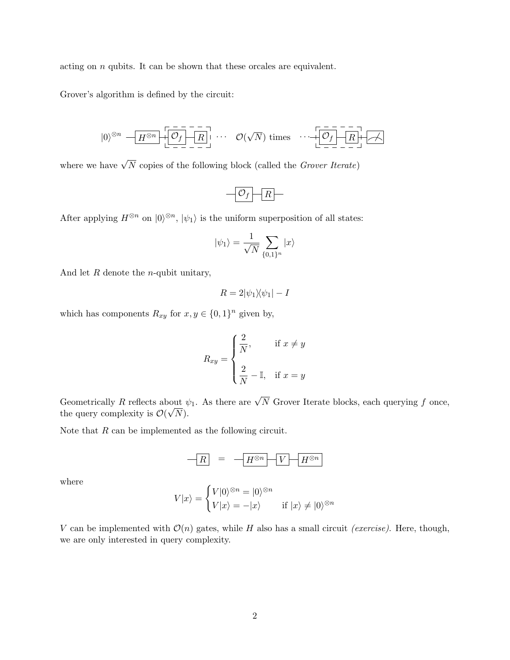acting on  $n$  qubits. It can be shown that these orcales are equivalent.

Grover's algorithm is defined by the circuit:

$$
|0\rangle^{\otimes n} \leftarrow H^{\otimes n} \left[\begin{array}{c|c}\n\hline\n-\overline{R} \\
\hline\n\end{array}\right] \cdots \quad \mathcal{O}(\sqrt{N}) \text{ times } \cdots \left[\begin{array}{c|c}\n\hline\n-\overline{R} \\
\hline\n\end{array}\right] \left[\begin{array}{c|c}\n\hline\n\end{array}\right]
$$

where we have  $\sqrt{N}$  copies of the following block (called the *Grover Iterate*)

$$
-\boxed{\mathcal{O}_f}\boxed{R}
$$

After applying  $H^{\otimes n}$  on  $|0\rangle^{\otimes n}$ ,  $|\psi_1\rangle$  is the uniform superposition of all states:

$$
|\psi_1\rangle=\frac{1}{\sqrt{N}}\sum_{\{0,1\}^n}|x\rangle
$$

And let  $R$  denote the *n*-qubit unitary,

$$
R = 2|\psi_1\rangle\langle\psi_1| - I
$$

which has components  $R_{xy}$  for  $x, y \in \{0, 1\}^n$  given by,

$$
R_{xy} = \begin{cases} \frac{2}{N}, & \text{if } x \neq y \\ \frac{2}{N} - \mathbb{I}, & \text{if } x = y \end{cases}
$$

Geometrically R reflects about  $\psi_1$ . As there are  $\sqrt{N}$  Grover Iterate blocks, each querying f once, the query complexity is  $\mathcal{O}(\sqrt{N})$ .

Note that  $R$  can be implemented as the following circuit.

$$
-R = -H^{\otimes n} - V - H^{\otimes n}
$$

where

$$
V|x\rangle = \begin{cases} V|0\rangle^{\otimes n} = |0\rangle^{\otimes n} \\ V|x\rangle = -|x\rangle \end{cases} \quad \text{if } |x\rangle \neq |0\rangle^{\otimes n}
$$

V can be implemented with  $\mathcal{O}(n)$  gates, while H also has a small circuit *(exercise)*. Here, though, we are only interested in query complexity.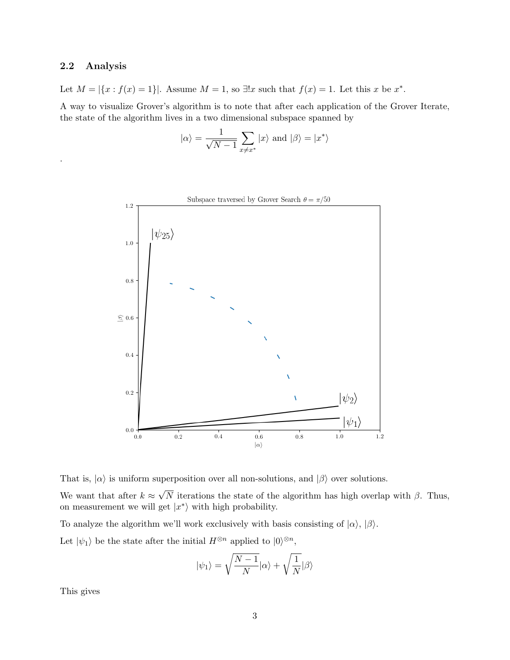### 2.2 Analysis

.

Let  $M = |\{x : f(x) = 1\}|$ . Assume  $M = 1$ , so  $\exists !x$  such that  $f(x) = 1$ . Let this x be  $x^*$ .

A way to visualize Grover's algorithm is to note that after each application of the Grover Iterate, the state of the algorithm lives in a two dimensional subspace spanned by

$$
|\alpha\rangle = \frac{1}{\sqrt{N-1}}\sum_{x\neq x^*}|x\rangle \text{ and } |\beta\rangle = |x^*\rangle
$$



That is,  $|\alpha\rangle$  is uniform superposition over all non-solutions, and  $|\beta\rangle$  over solutions. We want that after  $k \approx$ √ N iterations the state of the algorithm has high overlap with  $\beta$ . Thus, on measurement we will get  $|x^*\rangle$  with high probability.

To analyze the algorithm we'll work exclusively with basis consisting of  $|\alpha\rangle$ ,  $|\beta\rangle$ . Let  $|\psi_1\rangle$  be the state after the initial  $H^{\otimes n}$  applied to  $|0\rangle^{\otimes n}$ ,

$$
|\psi_1\rangle=\sqrt{\frac{N-1}{N}}|\alpha\rangle+\sqrt{\frac{1}{N}}|\beta\rangle
$$

This gives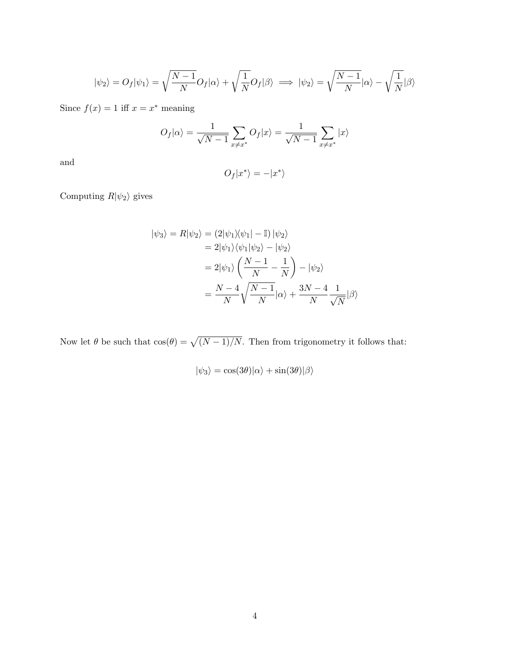$$
|\psi_2\rangle = O_f|\psi_1\rangle = \sqrt{\frac{N-1}{N}}O_f|\alpha\rangle + \sqrt{\frac{1}{N}}O_f|\beta\rangle \implies |\psi_2\rangle = \sqrt{\frac{N-1}{N}}|\alpha\rangle - \sqrt{\frac{1}{N}}|\beta\rangle
$$

Since  $f(x) = 1$  iff  $x = x^*$  meaning

$$
O_f|\alpha\rangle = \frac{1}{\sqrt{N-1}} \sum_{x \neq x^*} O_f|x\rangle = \frac{1}{\sqrt{N-1}} \sum_{x \neq x^*} |x\rangle
$$

and

$$
O_f|x^*\rangle = -|x^*\rangle
$$

Computing  $R|\psi_2\rangle$  gives

$$
|\psi_3\rangle = R|\psi_2\rangle = (2|\psi_1\rangle\langle\psi_1| - \mathbb{I}) |\psi_2\rangle
$$
  
= 2|\psi\_1\rangle\langle\psi\_1|\psi\_2\rangle - |\psi\_2\rangle  
= 2|\psi\_1\rangle \left(\frac{N-1}{N} - \frac{1}{N}\right) - |\psi\_2\rangle  
= \frac{N-4}{N} \sqrt{\frac{N-1}{N}} |\alpha\rangle + \frac{3N-4}{N} \frac{1}{\sqrt{N}} |\beta\rangle

Now let  $\theta$  be such that  $\cos(\theta) = \sqrt{(N-1)/N}$ . Then from trigonometry it follows that:

$$
|\psi_3\rangle = \cos(3\theta)|\alpha\rangle + \sin(3\theta)|\beta\rangle
$$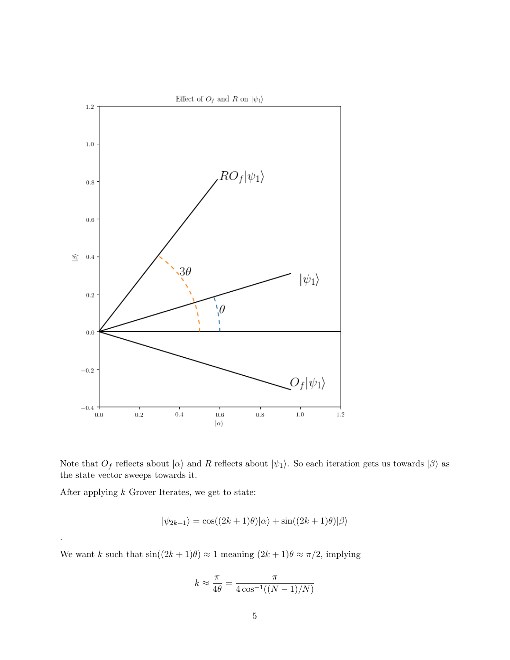

Note that  $O_f$  reflects about  $|\alpha\rangle$  and R reflects about  $|\psi_1\rangle$ . So each iteration gets us towards  $|\beta\rangle$  as the state vector sweeps towards it.

After applying  $k$  Grover Iterates, we get to state:

.

$$
|\psi_{2k+1}\rangle = \cos((2k+1)\theta)|\alpha\rangle + \sin((2k+1)\theta)|\beta\rangle
$$

We want k such that  $sin((2k+1)\theta) \approx 1$  meaning  $(2k+1)\theta \approx \pi/2$ , implying

$$
k \approx \frac{\pi}{4\theta} = \frac{\pi}{4\cos^{-1}((N-1)/N)}
$$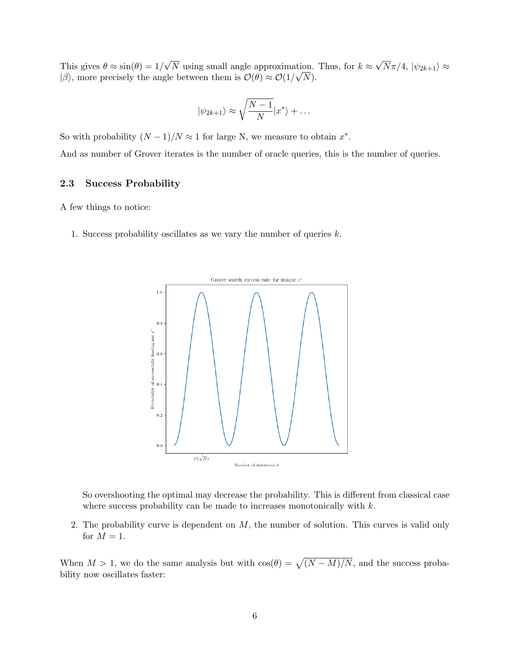This gives  $\theta \approx \sin(\theta) = 1/$ √ N using small angle approximation. Thus, for  $k \approx$ √ tion. Thus, for  $k \approx \sqrt{N\pi/4}$ ,  $|\psi_{2k+1}\rangle \approx$  $|\beta\rangle$ , more precisely the angle between them is  $\mathcal{O}(\theta) \approx \mathcal{O}(1/\sqrt{N})$ .

$$
|\psi_{2k+1}\rangle \approx \sqrt{\frac{N-1}{N}}|x^*\rangle + \dots
$$

So with probability  $(N-1)/N \approx 1$  for large N, we measure to obtain  $x^*$ .

And as number of Grover iterates is the number of oracle queries, this is the number of queries.

### 2.3 Success Probability

A few things to notice:

1. Success probability oscillates as we vary the number of queries  $k$ .



So overshooting the optimal may decrease the probability. This is different from classical case where success probability can be made to increases monotonically with  $k$ .

2. The probability curve is dependent on  $M$ , the number of solution. This curves is valid only for  $M = 1$ .

When  $M > 1$ , we do the same analysis but with  $\cos(\theta) = \sqrt{(N-M)/N}$ , and the success probability now oscillates faster: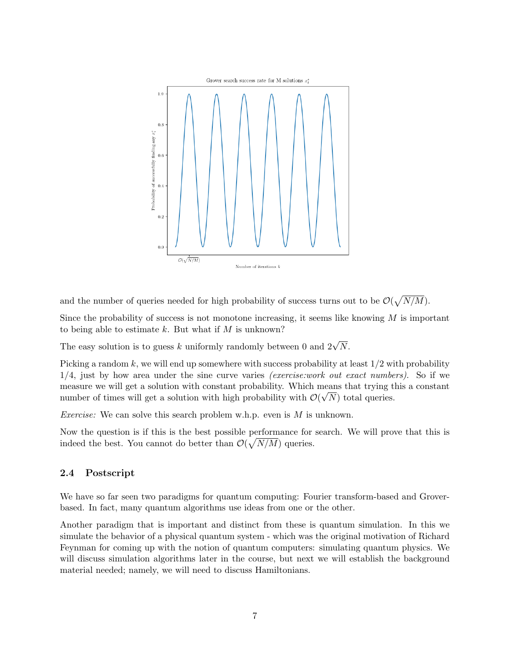

and the number of queries needed for high probability of success turns out to be  $\mathcal{O}(\sqrt{N/M})$ .

Since the probability of success is not monotone increasing, it seems like knowing  $M$  is important to being able to estimate  $k$ . But what if  $M$  is unknown?

The easy solution is to guess k uniformly randomly between 0 and  $2\sqrt{N}$ .

Picking a random k, we will end up somewhere with success probability at least  $1/2$  with probability  $1/4$ , just by how area under the sine curve varies *(exercise:work out exact numbers)*. So if we measure we will get a solution with constant probability. Which means that trying this a constant number of times will get a solution with high probability with  $\mathcal{O}(\sqrt{N})$  total queries.

*Exercise:* We can solve this search problem w.h.p. even is  $M$  is unknown.

Now the question is if this is the best possible performance for search. We will prove that this is indeed the best. You cannot do better than  $\mathcal{O}(\sqrt{N/M})$  queries.

#### 2.4 Postscript

We have so far seen two paradigms for quantum computing: Fourier transform-based and Groverbased. In fact, many quantum algorithms use ideas from one or the other.

Another paradigm that is important and distinct from these is quantum simulation. In this we simulate the behavior of a physical quantum system - which was the original motivation of Richard Feynman for coming up with the notion of quantum computers: simulating quantum physics. We will discuss simulation algorithms later in the course, but next we will establish the background material needed; namely, we will need to discuss Hamiltonians.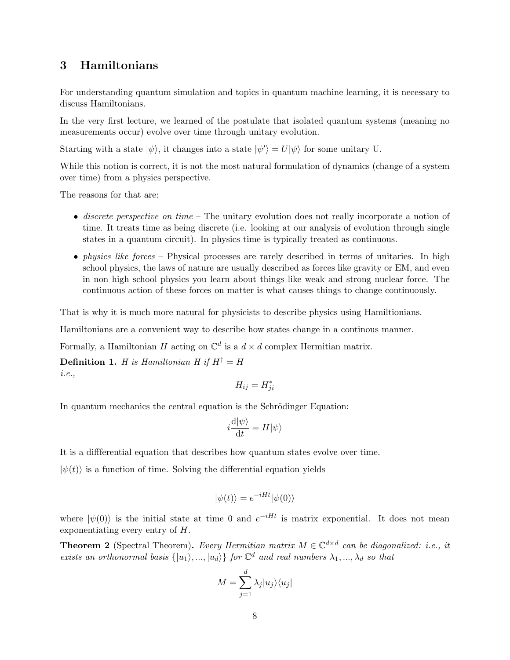# 3 Hamiltonians

For understanding quantum simulation and topics in quantum machine learning, it is necessary to discuss Hamiltonians.

In the very first lecture, we learned of the postulate that isolated quantum systems (meaning no measurements occur) evolve over time through unitary evolution.

Starting with a state  $|\psi\rangle$ , it changes into a state  $|\psi'\rangle = U|\psi\rangle$  for some unitary U.

While this notion is correct, it is not the most natural formulation of dynamics (change of a system over time) from a physics perspective.

The reasons for that are:

- discrete perspective on time The unitary evolution does not really incorporate a notion of time. It treats time as being discrete (i.e. looking at our analysis of evolution through single states in a quantum circuit). In physics time is typically treated as continuous.
- *physics like forces* Physical processes are rarely described in terms of unitaries. In high school physics, the laws of nature are usually described as forces like gravity or EM, and even in non high school physics you learn about things like weak and strong nuclear force. The continuous action of these forces on matter is what causes things to change continuously.

That is why it is much more natural for physicists to describe physics using Hamiltionians.

Hamiltonians are a convenient way to describe how states change in a continous manner.

Formally, a Hamiltonian H acting on  $\mathbb{C}^d$  is a  $d \times d$  complex Hermitian matrix.

**Definition 1.** H is Hamiltonian H if  $H^{\dagger} = H$ i.e.,

$$
H_{ij} = H_{ji}^*
$$

In quantum mechanics the central equation is the Schrödinger Equation:

$$
i\frac{\mathrm{d}|\psi\rangle}{\mathrm{d}t} = H|\psi\rangle
$$

It is a diffferential equation that describes how quantum states evolve over time.

 $|\psi(t)\rangle$  is a function of time. Solving the differential equation yields

$$
|\psi(t)\rangle = e^{-iHt}|\psi(0)\rangle
$$

where  $|\psi(0)\rangle$  is the initial state at time 0 and  $e^{-iHt}$  is matrix exponential. It does not mean exponentiating every entry of H.

**Theorem 2** (Spectral Theorem). Every Hermitian matrix  $M \in \mathbb{C}^{d \times d}$  can be diagonalized: i.e., it exists an orthonormal basis  $\{|u_1\rangle, ..., |u_d\rangle\}$  for  $\mathbb{C}^d$  and real numbers  $\lambda_1, ..., \lambda_d$  so that

$$
M = \sum_{j=1}^{d} \lambda_j |u_j\rangle\langle u_j|
$$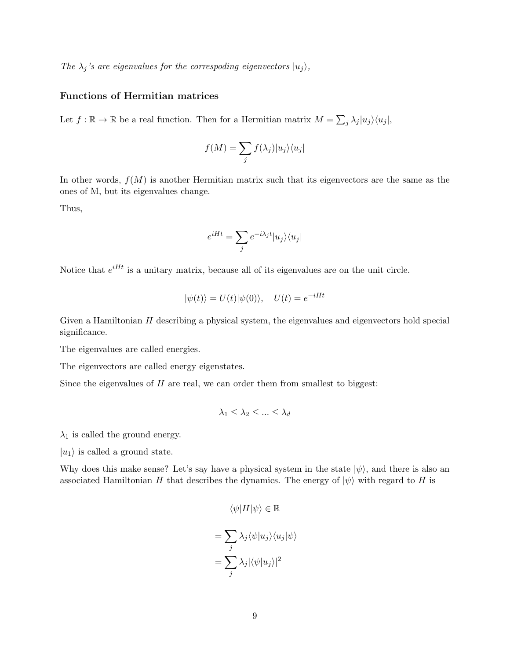The  $\lambda_j$ 's are eigenvalues for the correspoding eigenvectors  $|u_j\rangle$ ,

### Functions of Hermitian matrices

Let  $f : \mathbb{R} \to \mathbb{R}$  be a real function. Then for a Hermitian matrix  $M = \sum_j \lambda_j |u_j\rangle \langle u_j|$ ,

$$
f(M) = \sum_{j} f(\lambda_j) |u_j\rangle\langle u_j|
$$

In other words,  $f(M)$  is another Hermitian matrix such that its eigenvectors are the same as the ones of M, but its eigenvalues change.

Thus,

$$
e^{iHt} = \sum_{j} e^{-i\lambda_j t} |u_j\rangle\langle u_j|
$$

Notice that  $e^{iHt}$  is a unitary matrix, because all of its eigenvalues are on the unit circle.

$$
|\psi(t)\rangle = U(t)|\psi(0)\rangle, \quad U(t) = e^{-iHt}
$$

Given a Hamiltonian  $H$  describing a physical system, the eigenvalues and eigenvectors hold special significance.

The eigenvalues are called energies.

The eigenvectors are called energy eigenstates.

Since the eigenvalues of  $H$  are real, we can order them from smallest to biggest:

$$
\lambda_1 \leq \lambda_2 \leq \ldots \leq \lambda_d
$$

 $\lambda_1$  is called the ground energy.

 $|u_1\rangle$  is called a ground state.

Why does this make sense? Let's say have a physical system in the state  $|\psi\rangle$ , and there is also an associated Hamiltonian H that describes the dynamics. The energy of  $|\psi\rangle$  with regard to H is

$$
\langle \psi | H | \psi \rangle \in \mathbb{R}
$$

$$
= \sum_{j} \lambda_j \langle \psi | u_j \rangle \langle u_j | \psi \rangle
$$

$$
= \sum_{j} \lambda_j |\langle \psi | u_j \rangle|^2
$$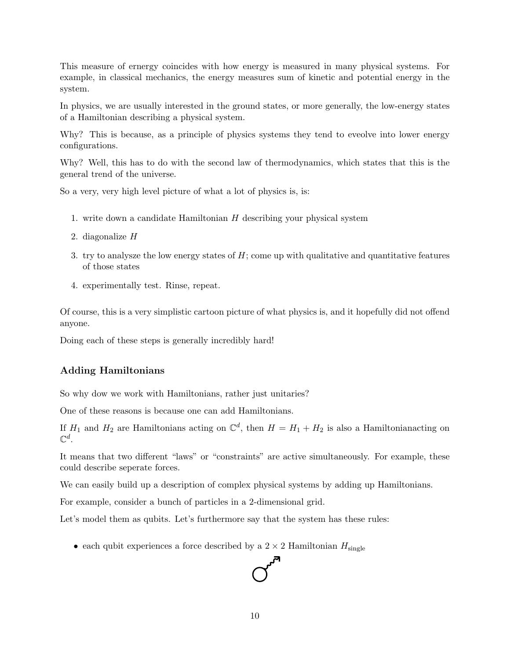This measure of ernergy coincides with how energy is measured in many physical systems. For example, in classical mechanics, the energy measures sum of kinetic and potential energy in the system.

In physics, we are usually interested in the ground states, or more generally, the low-energy states of a Hamiltonian describing a physical system.

Why? This is because, as a principle of physics systems they tend to eveolve into lower energy configurations.

Why? Well, this has to do with the second law of thermodynamics, which states that this is the general trend of the universe.

So a very, very high level picture of what a lot of physics is, is:

- 1. write down a candidate Hamiltonian  $H$  describing your physical system
- 2. diagonalize  $H$
- 3. try to analysze the low energy states of H; come up with qualitative and quantitative features of those states
- 4. experimentally test. Rinse, repeat.

Of course, this is a very simplistic cartoon picture of what physics is, and it hopefully did not offend anyone.

Doing each of these steps is generally incredibly hard!

#### Adding Hamiltonians

So why dow we work with Hamiltonians, rather just unitaries?

One of these reasons is because one can add Hamiltonians.

If  $H_1$  and  $H_2$  are Hamiltonians acting on  $\mathbb{C}^d$ , then  $H = H_1 + H_2$  is also a Hamiltonian acting on  $\mathbb{C}^d.$ 

It means that two different "laws" or "constraints" are active simultaneously. For example, these could describe seperate forces.

We can easily build up a description of complex physical systems by adding up Hamiltonians.

For example, consider a bunch of particles in a 2-dimensional grid.

Let's model them as qubits. Let's furthermore say that the system has these rules:

• each qubit experiences a force described by a  $2 \times 2$  Hamiltonian  $H_{\text{single}}$ 

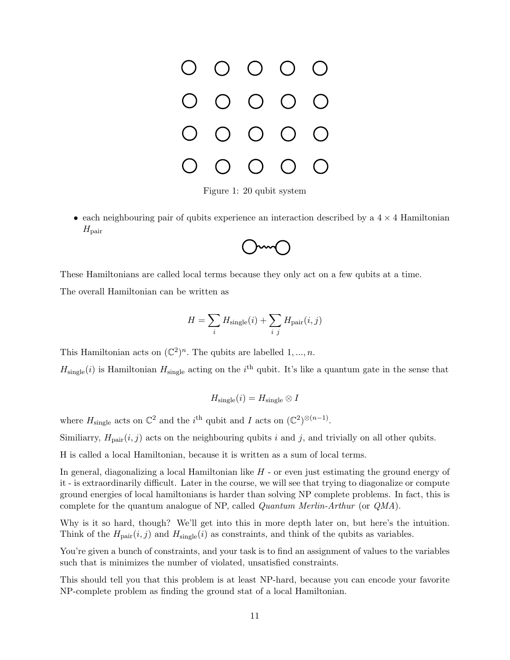

Figure 1: 20 qubit system

• each neighbouring pair of qubits experience an interaction described by a  $4 \times 4$  Hamiltonian  $H_{\text{pair}}$ 



These Hamiltonians are called local terms because they only act on a few qubits at a time.

The overall Hamiltonian can be written as

$$
H = \sum_{i} H_{\text{single}}(i) + \sum_{i} H_{\text{pair}}(i, j)
$$

This Hamiltonian acts on  $(\mathbb{C}^2)^n$ . The qubits are labelled  $1, ..., n$ .

 $H_{\text{single}}(i)$  is Hamiltonian  $H_{\text{single}}$  acting on the i<sup>th</sup> qubit. It's like a quantum gate in the sense that

$$
H_{\text{single}}(i) = H_{\text{single}} \otimes I
$$

where  $H_{\text{single}}$  acts on  $\mathbb{C}^2$  and the i<sup>th</sup> qubit and I acts on  $(\mathbb{C}^2)^{\otimes (n-1)}$ .

Similiarry,  $H_{\text{pair}}(i, j)$  acts on the neighbouring qubits i and j, and trivially on all other qubits.

H is called a local Hamiltonian, because it is written as a sum of local terms.

In general, diagonalizing a local Hamiltonian like  $H$  - or even just estimating the ground energy of it - is extraordinarily difficult. Later in the course, we will see that trying to diagonalize or compute ground energies of local hamiltonians is harder than solving NP complete problems. In fact, this is complete for the quantum analogue of NP, called Quantum Merlin-Arthur (or QMA).

Why is it so hard, though? We'll get into this in more depth later on, but here's the intuition. Think of the  $H_{\text{pair}}(i, j)$  and  $H_{\text{single}}(i)$  as constraints, and think of the qubits as variables.

You're given a bunch of constraints, and your task is to find an assignment of values to the variables such that is minimizes the number of violated, unsatisfied constraints.

This should tell you that this problem is at least NP-hard, because you can encode your favorite NP-complete problem as finding the ground stat of a local Hamiltonian.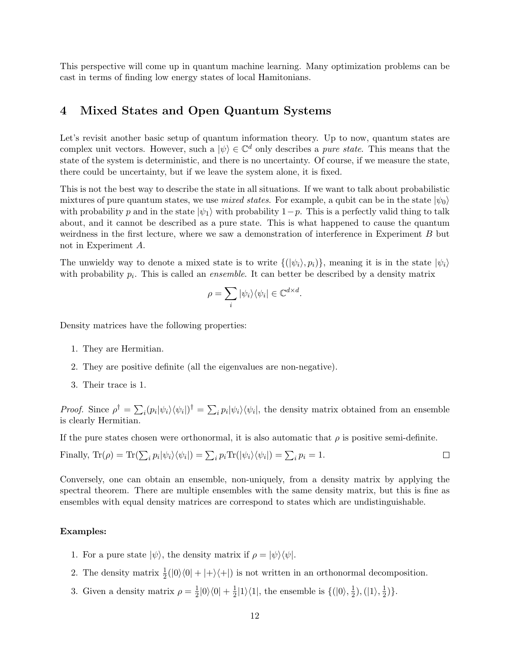This perspective will come up in quantum machine learning. Many optimization problems can be cast in terms of finding low energy states of local Hamitonians.

### 4 Mixed States and Open Quantum Systems

Let's revisit another basic setup of quantum information theory. Up to now, quantum states are complex unit vectors. However, such a  $|\psi\rangle \in \mathbb{C}^d$  only describes a *pure state*. This means that the state of the system is deterministic, and there is no uncertainty. Of course, if we measure the state, there could be uncertainty, but if we leave the system alone, it is fixed.

This is not the best way to describe the state in all situations. If we want to talk about probabilistic mixtures of pure quantum states, we use mixed states. For example, a qubit can be in the state  $|\psi_0\rangle$ with probability p and in the state  $|\psi_1\rangle$  with probability  $1-p$ . This is a perfectly valid thing to talk about, and it cannot be described as a pure state. This is what happened to cause the quantum weirdness in the first lecture, where we saw a demonstration of interference in Experiment B but not in Experiment A.

The unwieldy way to denote a mixed state is to write  $\{(\psi_i), p_i\}$ , meaning it is in the state  $|\psi_i\rangle$ with probability  $p_i$ . This is called an *ensemble*. It can better be described by a density matrix

$$
\rho = \sum_i |\psi_i\rangle\langle\psi_i| \in \mathbb{C}^{d \times d}.
$$

Density matrices have the following properties:

- 1. They are Hermitian.
- 2. They are positive definite (all the eigenvalues are non-negative).
- 3. Their trace is 1.

*Proof.* Since  $\rho^{\dagger} = \sum_{i} (p_i |\psi_i\rangle \langle \psi_i|)^{\dagger} = \sum_{i} p_i |\psi_i\rangle \langle \psi_i|$ , the density matrix obtained from an ensemble is clearly Hermitian.

If the pure states chosen were orthonormal, it is also automatic that  $\rho$  is positive semi-definite.

Finally, 
$$
\text{Tr}(\rho) = \text{Tr}(\sum_i p_i |\psi_i\rangle\langle\psi_i|) = \sum_i p_i \text{Tr}(|\psi_i\rangle\langle\psi_i|) = \sum_i p_i = 1.
$$

Conversely, one can obtain an ensemble, non-uniquely, from a density matrix by applying the spectral theorem. There are multiple ensembles with the same density matrix, but this is fine as ensembles with equal density matrices are correspond to states which are undistinguishable.

#### Examples:

- 1. For a pure state  $|\psi\rangle$ , the density matrix if  $\rho = |\psi\rangle \langle \psi|$ .
- 2. The density matrix  $\frac{1}{2}(|0\rangle\langle0| + |+\rangle\langle+|)$  is not written in an orthonormal decomposition.
- 3. Given a density matrix  $\rho = \frac{1}{2}$  $\frac{1}{2}|0\rangle\langle0| + \frac{1}{2}$  $\frac{1}{2}|1\rangle\langle 1|$ , the ensemble is  $\{|0\rangle, \frac{1}{2}\rangle$  $\frac{1}{2}), (|1\rangle, \frac{1}{2}$  $(\frac{1}{2})\}.$